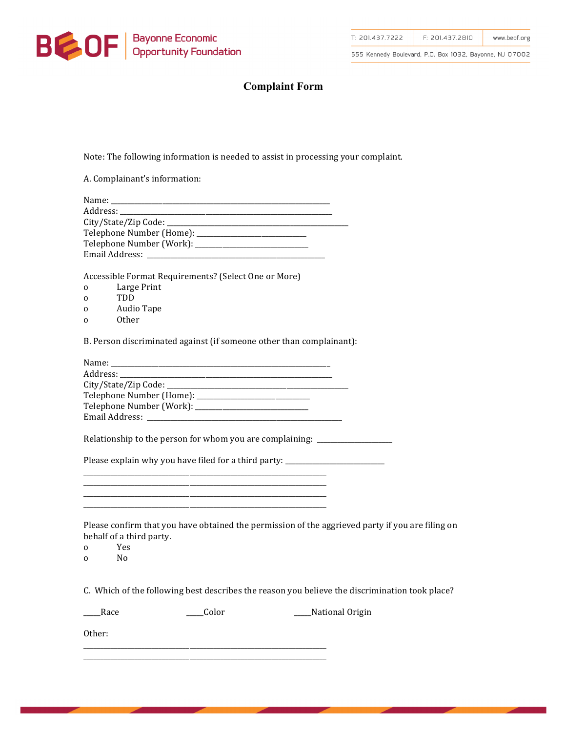

555 Kennedy Boulevard, P.O. Box 1032, Bayonne, NJ 07002

## **Complaint Form**

Note: The following information is needed to assist in processing your complaint.

A. Complainant's information:

| Name:                          |  |
|--------------------------------|--|
|                                |  |
|                                |  |
|                                |  |
|                                |  |
| Email Address: _______________ |  |

Accessible Format Requirements? (Select One or More)

- o Large Print
- o TDD
- o Audio Tape
- o Other

B. Person discriminated against (if someone other than complainant):

| Email Address: The Management of the Second Second Second Second Second Second Second Second Second Second Second Second Second Second Second Second Second Second Second Second Second Second Second Second Second Second Sec |  |
|--------------------------------------------------------------------------------------------------------------------------------------------------------------------------------------------------------------------------------|--|

Relationship to the person for whom you are complaining:  $\frac{1}{\sqrt{2}}$ 

Please explain why you have filed for a third party: \_\_\_\_\_\_\_\_\_\_\_\_\_\_\_\_\_\_\_\_\_\_\_\_\_\_\_ \_\_\_\_\_\_\_\_\_\_\_\_\_\_\_\_\_\_\_\_\_\_\_\_\_\_\_\_\_\_\_\_\_\_\_\_\_\_\_\_\_\_\_\_\_\_\_\_\_\_\_\_\_\_\_\_\_\_\_\_\_\_\_\_\_\_\_\_\_\_\_

\_\_\_\_\_\_\_\_\_\_\_\_\_\_\_\_\_\_\_\_\_\_\_\_\_\_\_\_\_\_\_\_\_\_\_\_\_\_\_\_\_\_\_\_\_\_\_\_\_\_\_\_\_\_\_\_\_\_\_\_\_\_\_\_\_\_\_\_\_\_\_ \_\_\_\_\_\_\_\_\_\_\_\_\_\_\_\_\_\_\_\_\_\_\_\_\_\_\_\_\_\_\_\_\_\_\_\_\_\_\_\_\_\_\_\_\_\_\_\_\_\_\_\_\_\_\_\_\_\_\_\_\_\_\_\_\_\_\_\_\_\_\_ \_\_\_\_\_\_\_\_\_\_\_\_\_\_\_\_\_\_\_\_\_\_\_\_\_\_\_\_\_\_\_\_\_\_\_\_\_\_\_\_\_\_\_\_\_\_\_\_\_\_\_\_\_\_\_\_\_\_\_\_\_\_\_\_\_\_\_\_\_\_\_

\_\_\_\_\_\_\_\_\_\_\_\_\_\_\_\_\_\_\_\_\_\_\_\_\_\_\_\_\_\_\_\_\_\_\_\_\_\_\_\_\_\_\_\_\_\_\_\_\_\_\_\_\_\_\_\_\_\_\_\_\_\_\_\_\_\_\_\_\_\_\_ \_\_\_\_\_\_\_\_\_\_\_\_\_\_\_\_\_\_\_\_\_\_\_\_\_\_\_\_\_\_\_\_\_\_\_\_\_\_\_\_\_\_\_\_\_\_\_\_\_\_\_\_\_\_\_\_\_\_\_\_\_\_\_\_\_\_\_\_\_\_\_

Please confirm that you have obtained the permission of the aggrieved party if you are filing on behalf of a third party.

o Yes

o No

C. Which of the following best describes the reason you believe the discrimination took place?

\_\_\_\_Race \_\_\_\_\_\_\_\_\_\_\_\_\_\_\_\_\_\_\_Color \_\_\_\_\_\_\_\_\_\_\_\_\_\_\_\_\_\_\_\_\_\_\_\_National Origin

Other: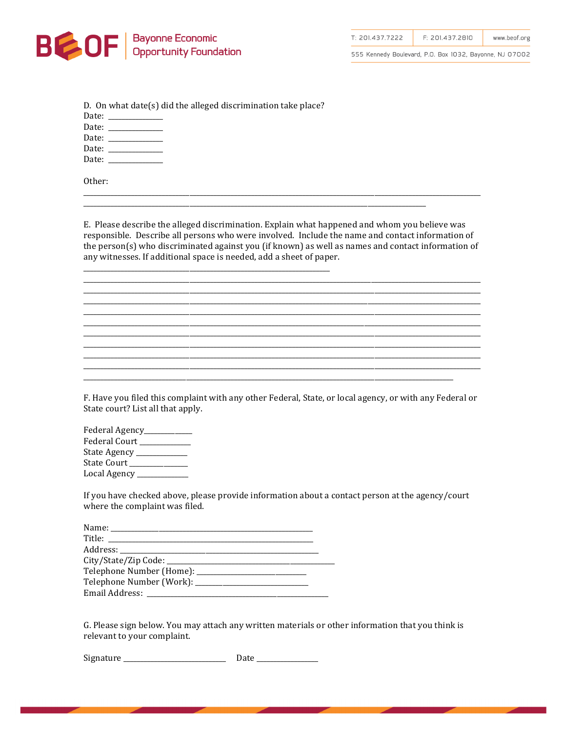

Other:

T: 201.437.7222 F: 201.437.2810 www.beof.org

555 Kennedy Boulevard, P.O. Box 1032, Bayonne, NJ 07002

| D. On what date(s) did the alleged discrimination take place? |
|---------------------------------------------------------------|
| Date: _____________                                           |
| Date: _____________                                           |
| Date: _____________                                           |
| Date: ______________                                          |
| Date: _____________                                           |
|                                                               |

E. Please describe the alleged discrimination. Explain what happened and whom you believe was responsible. Describe all persons who were involved. Include the name and contact information of the person(s) who discriminated against you (if known) as well as names and contact information of any witnesses. If additional space is needed, add a sheet of paper.

F. Have you filed this complaint with any other Federal, State, or local agency, or with any Federal or State court? List all that apply.

| Federal Agency_____      |
|--------------------------|
| Federal Court __________ |
| State Agency ______      |
| State Court _____        |
| Local Agency ____        |

If you have checked above, please provide information about a contact person at the agency/court where the complaint was filed.

| Title: _______________ |  |
|------------------------|--|
|                        |  |
|                        |  |
|                        |  |
|                        |  |
|                        |  |

G. Please sign below. You may attach any written materials or other information that you think is relevant to your complaint.